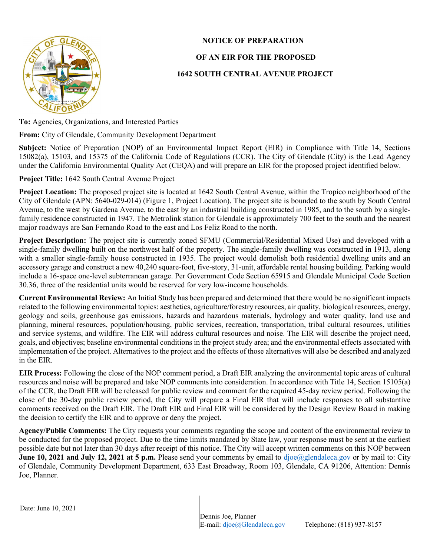

## NOTICE OF PREPARATION

## OF AN EIR FOR THE PROPOSED

## 1642 SOUTH CENTRAL AVENUE PROJECT

To: Agencies, Organizations, and Interested Parties

From: City of Glendale, Community Development Department

Subject: Notice of Preparation (NOP) of an Environmental Impact Report (EIR) in Compliance with Title 14, Sections 15082(a), 15103, and 15375 of the California Code of Regulations (CCR). The City of Glendale (City) is the Lead Agency under the California Environmental Quality Act (CEQA) and will prepare an EIR for the proposed project identified below.

## Project Title: 1642 South Central Avenue Project

Project Location: The proposed project site is located at 1642 South Central Avenue, within the Tropico neighborhood of the City of Glendale (APN: 5640-029-014) (Figure 1, Project Location). The project site is bounded to the south by South Central Avenue, to the west by Gardena Avenue, to the east by an industrial building constructed in 1985, and to the south by a singlefamily residence constructed in 1947. The Metrolink station for Glendale is approximately 700 feet to the south and the nearest major roadways are San Fernando Road to the east and Los Feliz Road to the north.

Project Description: The project site is currently zoned SFMU (Commercial/Residential Mixed Use) and developed with a single-family dwelling built on the northwest half of the property. The single-family dwelling was constructed in 1913, along with a smaller single-family house constructed in 1935. The project would demolish both residential dwelling units and an accessory garage and construct a new 40,240 square-foot, five-story, 31-unit, affordable rental housing building. Parking would include a 16-space one-level subterranean garage. Per Government Code Section 65915 and Glendale Municipal Code Section 30.36, three of the residential units would be reserved for very low-income households.

Current Environmental Review: An Initial Study has been prepared and determined that there would be no significant impacts related to the following environmental topics: aesthetics, agriculture/forestry resources, air quality, biological resources, energy, geology and soils, greenhouse gas emissions, hazards and hazardous materials, hydrology and water quality, land use and planning, mineral resources, population/housing, public services, recreation, transportation, tribal cultural resources, utilities and service systems, and wildfire. The EIR will address cultural resources and noise. The EIR will describe the project need, goals, and objectives; baseline environmental conditions in the project study area; and the environmental effects associated with implementation of the project. Alternatives to the project and the effects of those alternatives will also be described and analyzed in the EIR.

EIR Process: Following the close of the NOP comment period, a Draft EIR analyzing the environmental topic areas of cultural resources and noise will be prepared and take NOP comments into consideration. In accordance with Title 14, Section 15105(a) of the CCR, the Draft EIR will be released for public review and comment for the required 45-day review period. Following the close of the 30-day public review period, the City will prepare a Final EIR that will include responses to all substantive comments received on the Draft EIR. The Draft EIR and Final EIR will be considered by the Design Review Board in making the decision to certify the EIR and to approve or deny the project.

Agency/Public Comments: The City requests your comments regarding the scope and content of the environmental review to be conducted for the proposed project. Due to the time limits mandated by State law, your response must be sent at the earliest possible date but not later than 30 days after receipt of this notice. The City will accept written comments on this NOP between June 10, 2021 and July 12, 2021 at 5 p.m. Please send your comments by email to djoe@glendaleca.gov or by mail to: City of Glendale, Community Development Department, 633 East Broadway, Room 103, Glendale, CA 91206, Attention: Dennis Joe, Planner.

Date: June 10, 2021